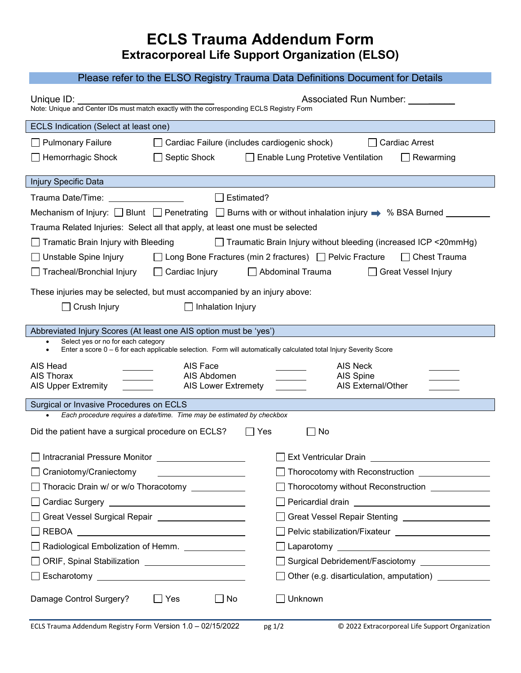## **ECLS Trauma Addendum Form Extracorporeal Life Support Organization (ELSO)**

## Please refer to the ELSO Registry Trauma Data Definitions Document for Details

| Unique $ID:$<br>Associated Run Number: 1997<br>Note: Unique and Center IDs must match exactly with the corresponding ECLS Registry Form                      |                                                |                                                                                                                 |  |  |
|--------------------------------------------------------------------------------------------------------------------------------------------------------------|------------------------------------------------|-----------------------------------------------------------------------------------------------------------------|--|--|
| ECLS Indication (Select at least one)                                                                                                                        |                                                |                                                                                                                 |  |  |
| <b>Pulmonary Failure</b>                                                                                                                                     | □ Cardiac Failure (includes cardiogenic shock) | <b>Cardiac Arrest</b>                                                                                           |  |  |
| $\Box$ Hemorrhagic Shock                                                                                                                                     | $\Box$ Septic Shock                            | Enable Lung Protetive Ventilation<br>$\Box$ Rewarming                                                           |  |  |
| <b>Injury Specific Data</b>                                                                                                                                  |                                                |                                                                                                                 |  |  |
| Trauma Date/Time: <u>______________________</u>                                                                                                              | $\Box$ Estimated?                              |                                                                                                                 |  |  |
|                                                                                                                                                              |                                                |                                                                                                                 |  |  |
| Trauma Related Injuries: Select all that apply, at least one must be selected                                                                                |                                                |                                                                                                                 |  |  |
| Tramatic Brain Injury with Bleeding<br>□ Traumatic Brain Injury without bleeding (increased ICP <20mmHg)                                                     |                                                |                                                                                                                 |  |  |
| Unstable Spine Injury<br>□ Long Bone Fractures (min 2 fractures) □ Pelvic Fracture<br>$\Box$ Chest Trauma                                                    |                                                |                                                                                                                 |  |  |
| $\Box$ Tracheal/Bronchial Injury                                                                                                                             | $\Box$ Cardiac Injury                          | Abdominal Trauma<br>□ Great Vessel Injury                                                                       |  |  |
| These injuries may be selected, but must accompanied by an injury above:                                                                                     |                                                |                                                                                                                 |  |  |
| Crush Injury<br>Inhalation Injury                                                                                                                            |                                                |                                                                                                                 |  |  |
|                                                                                                                                                              |                                                |                                                                                                                 |  |  |
| Abbreviated Injury Scores (At least one AIS option must be 'yes')                                                                                            |                                                |                                                                                                                 |  |  |
| Select yes or no for each category<br>Enter a score 0 - 6 for each applicable selection. Form will automatically calculated total Injury Severity Score<br>٠ |                                                |                                                                                                                 |  |  |
| AIS Head                                                                                                                                                     | AIS Face                                       | AIS Neck                                                                                                        |  |  |
| AIS Thorax<br><b>AIS Upper Extremity</b>                                                                                                                     | AIS Abdomen<br><b>AIS Lower Extremety</b>      | AIS Spine<br>AIS External/Other                                                                                 |  |  |
|                                                                                                                                                              |                                                |                                                                                                                 |  |  |
| Surgical or Invasive Procedures on ECLS<br>Each procedure requires a date/time. Time may be estimated by checkbox                                            |                                                |                                                                                                                 |  |  |
| Did the patient have a surgical procedure on ECLS?<br>$\vert \ \vert$ Yes<br>No                                                                              |                                                |                                                                                                                 |  |  |
| Intracranial Pressure Monitor ____________________                                                                                                           |                                                | Ext Ventricular Drain Letter Management Control and Text Ventricular Drain Letter Management Control and Text O |  |  |
| $\Box$ Craniotomy/Craniectomy                                                                                                                                |                                                | □ Thorocotomy with Reconstruction ________________                                                              |  |  |
| Thoracic Drain w/ or w/o Thoracotomy ____________                                                                                                            |                                                | Thorocotomy without Reconstruction ______________                                                               |  |  |
|                                                                                                                                                              |                                                |                                                                                                                 |  |  |
| Great Vessel Surgical Repair ____________________                                                                                                            |                                                | Great Vessel Repair Stenting _____________________                                                              |  |  |
|                                                                                                                                                              |                                                |                                                                                                                 |  |  |
| Radiological Embolization of Hemm. _____________                                                                                                             |                                                |                                                                                                                 |  |  |
|                                                                                                                                                              |                                                | □ Surgical Debridement/Fasciotomy _______________                                                               |  |  |
|                                                                                                                                                              |                                                | □ Other (e.g. disarticulation, amputation) ____________                                                         |  |  |
| Damage Control Surgery?                                                                                                                                      | $\Box$ No<br>$\Box$ Yes                        | Unknown                                                                                                         |  |  |